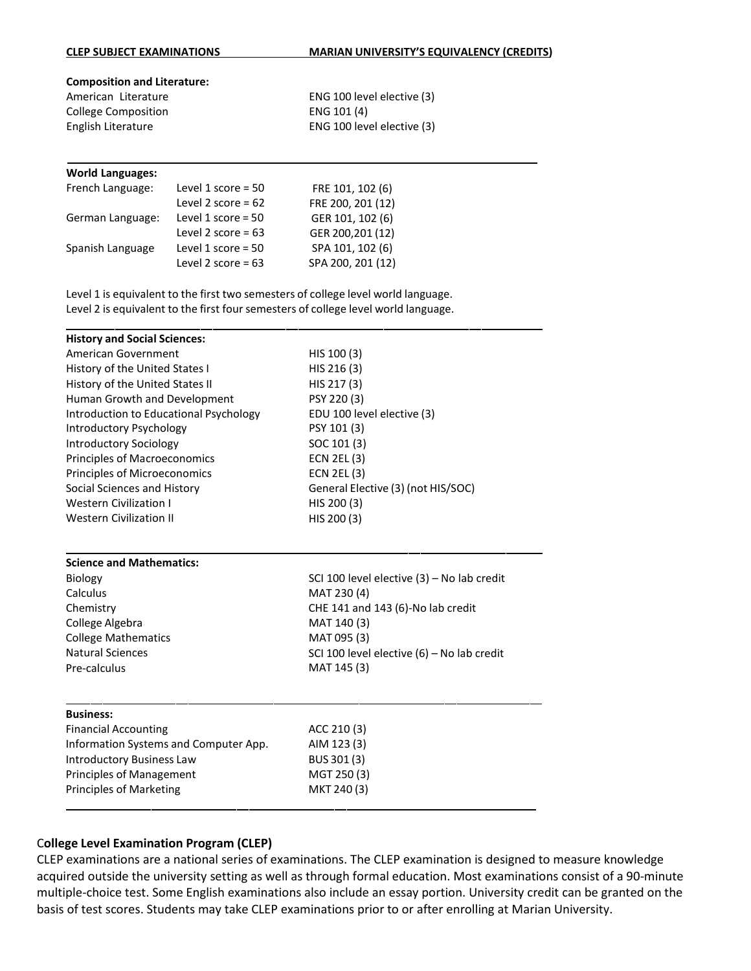## **CLEP SUBJECT EXAMINATIONS MARIAN UNIVERSITY'S EQUIVALENCY (CREDITS)**

## **Composition and Literature:**

American Literature College Composition English Literature

ENG 100 level elective (3) ENG 101 (4) ENG 100 level elective (3)

## **World Languages:**

| French Language: | Level 1 score = $50$ | FRE 101, 102 (6)  |
|------------------|----------------------|-------------------|
|                  | Level 2 score = $62$ | FRE 200, 201 (12) |
| German Language: | Level 1 score = $50$ | GER 101, 102 (6)  |
|                  | Level 2 score = $63$ | GER 200,201 (12)  |
| Spanish Language | Level 1 score = $50$ | SPA 101, 102 (6)  |
|                  | Level 2 score = $63$ | SPA 200, 201 (12) |

Level 1 is equivalent to the first two semesters of college level world language. Level 2 is equivalent to the first four semesters of college level world language.

| <b>History and Social Sciences:</b>    |                                              |
|----------------------------------------|----------------------------------------------|
| American Government                    | HIS 100 (3)                                  |
| History of the United States I         | HIS 216 (3)                                  |
| History of the United States II        | HIS 217 (3)                                  |
| Human Growth and Development           | PSY 220 (3)                                  |
| Introduction to Educational Psychology | EDU 100 level elective (3)                   |
| Introductory Psychology                | PSY 101 (3)                                  |
| <b>Introductory Sociology</b>          | SOC 101 (3)                                  |
| Principles of Macroeconomics           | <b>ECN 2EL (3)</b>                           |
| Principles of Microeconomics           | <b>ECN 2EL (3)</b>                           |
| Social Sciences and History            | General Elective (3) (not HIS/SOC)           |
| <b>Western Civilization I</b>          | HIS 200 (3)                                  |
| <b>Western Civilization II</b>         | HIS 200 (3)                                  |
|                                        |                                              |
| <b>Science and Mathematics:</b>        |                                              |
| Biology                                | SCI 100 level elective $(3)$ – No lab credit |
| Calculus                               | MAT 230 (4)                                  |
| Chemistry                              | CHE 141 and 143 (6)-No lab credit            |
| College Algebra                        | MAT 140 (3)                                  |
| <b>College Mathematics</b>             | MAT 095 (3)                                  |
| <b>Natural Sciences</b>                | SCI 100 level elective (6) - No lab credit   |
| Pre-calculus                           | MAT 145 (3)                                  |
|                                        |                                              |
| <b>Business:</b>                       |                                              |
| <b>Financial Accounting</b>            | ACC 210 (3)                                  |
| Information Systems and Computer App.  | AIM 123 (3)                                  |
| <b>Introductory Business Law</b>       | BUS 301 (3)                                  |
| <b>Principles of Management</b>        | MGT 250 (3)                                  |
| <b>Principles of Marketing</b>         | MKT 240 (3)                                  |
|                                        |                                              |

## C**ollege Level Examination Program (CLEP)**

CLEP examinations are a national series of examinations. The CLEP examination is designed to measure knowledge acquired outside the university setting as well as through formal education. Most examinations consist of a 90-minute multiple-choice test. Some English examinations also include an essay portion. University credit can be granted on the basis of test scores. Students may take CLEP examinations prior to or after enrolling at Marian University.